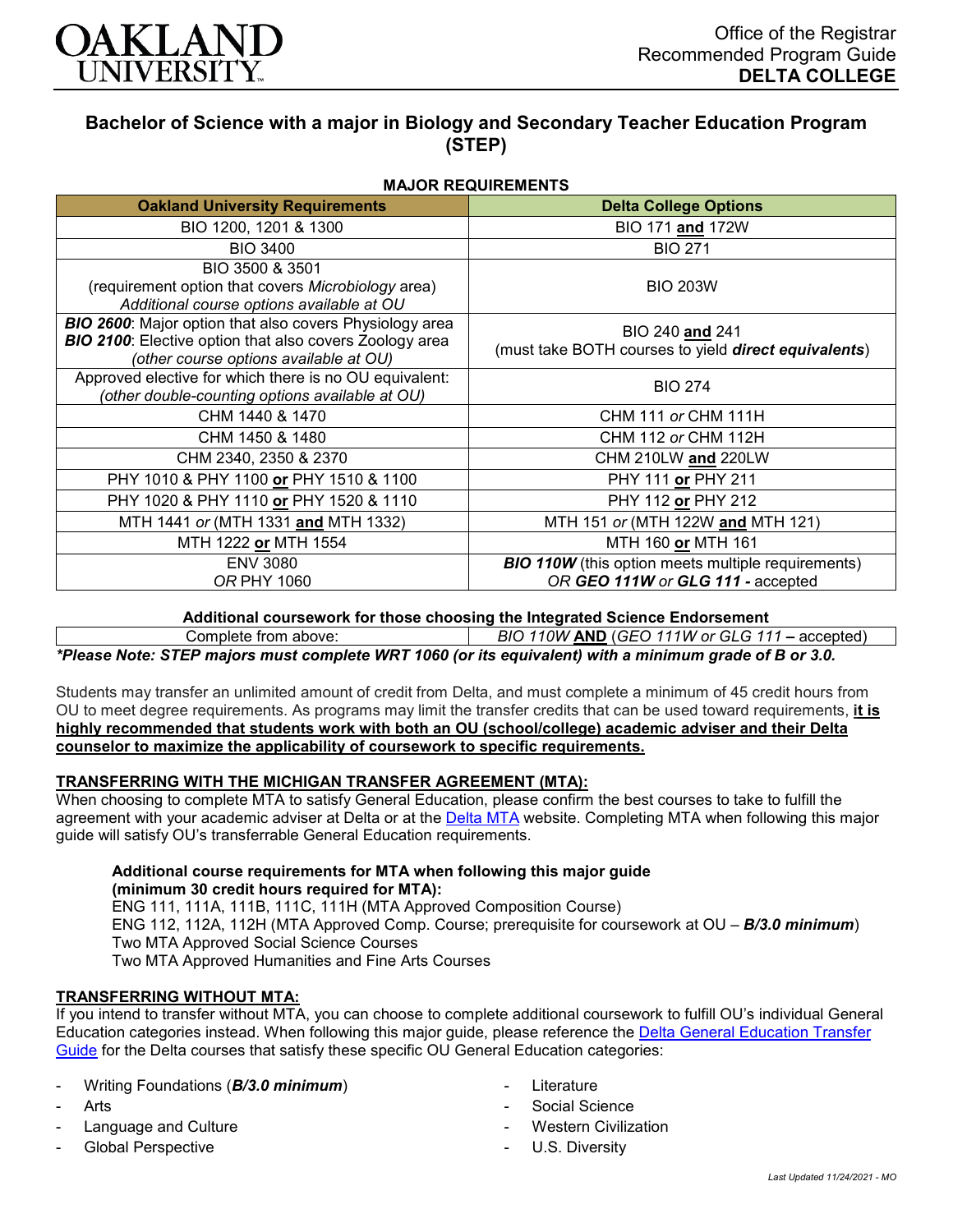

# **Bachelor of Science with a major in Biology and Secondary Teacher Education Program (STEP)**

**MAJOR REQUIREMENTS**

| <b>Oakland University Requirements</b>                                                                                                                              | <b>Delta College Options</b>                                                                   |
|---------------------------------------------------------------------------------------------------------------------------------------------------------------------|------------------------------------------------------------------------------------------------|
| BIO 1200, 1201 & 1300                                                                                                                                               | BIO 171 and 172W                                                                               |
| <b>BIO 3400</b>                                                                                                                                                     | <b>BIO 271</b>                                                                                 |
| BIO 3500 & 3501<br>(requirement option that covers Microbiology area)<br>Additional course options available at OU                                                  | <b>BIO 203W</b>                                                                                |
| <b>BIO 2600:</b> Major option that also covers Physiology area<br>BIO 2100: Elective option that also covers Zoology area<br>(other course options available at OU) | BIO 240 and 241<br>(must take BOTH courses to yield direct equivalents)                        |
| Approved elective for which there is no OU equivalent:<br>(other double-counting options available at OU)                                                           | <b>BIO 274</b>                                                                                 |
| CHM 1440 & 1470                                                                                                                                                     | <b>CHM 111 or CHM 111H</b>                                                                     |
| CHM 1450 & 1480                                                                                                                                                     | CHM 112 or CHM 112H                                                                            |
| CHM 2340, 2350 & 2370                                                                                                                                               | CHM 210LW and 220LW                                                                            |
| PHY 1010 & PHY 1100 or PHY 1510 & 1100                                                                                                                              | PHY 111 or PHY 211                                                                             |
| PHY 1020 & PHY 1110 or PHY 1520 & 1110                                                                                                                              | PHY 112 or PHY 212                                                                             |
| MTH 1441 or (MTH 1331 and MTH 1332)                                                                                                                                 | MTH 151 or (MTH 122W and MTH 121)                                                              |
| MTH 1222 or MTH 1554                                                                                                                                                | MTH 160 or MTH 161                                                                             |
| <b>ENV 3080</b><br><i>OR PHY 1060</i>                                                                                                                               | <b>BIO 110W</b> (this option meets multiple requirements)<br>OR GEO 111W or GLG 111 - accepted |

**Additional coursework for those choosing the Integrated Science Endorsement**

Complete from above: *BIO 110W* **AND** (*GEO 111W or GLG 111 –* accepted)

*\*Please Note: STEP majors must complete WRT 1060 (or its equivalent) with a minimum grade of B or 3.0.*

Students may transfer an unlimited amount of credit from Delta, and must complete a minimum of 45 credit hours from OU to meet degree requirements. As programs may limit the transfer credits that can be used toward requirements, **it is highly recommended that students work with both an OU (school/college) academic adviser and their Delta counselor to maximize the applicability of coursework to specific requirements.**

# **TRANSFERRING WITH THE MICHIGAN TRANSFER AGREEMENT (MTA):**

When choosing to complete MTA to satisfy General Education, please confirm the best courses to take to fulfill the agreement with your academic adviser at Delta or at the [Delta MTA](http://catalog.delta.edu/content.php?catoid=10&navoid=1320&hl=MTA&returnto=search) website. Completing MTA when following this major guide will satisfy OU's transferrable General Education requirements.

#### **Additional course requirements for MTA when following this major guide (minimum 30 credit hours required for MTA):**

ENG 111, 111A, 111B, 111C, 111H (MTA Approved Composition Course) ENG 112, 112A, 112H (MTA Approved Comp. Course; prerequisite for coursework at OU – *B/3.0 minimum*) Two MTA Approved Social Science Courses Two MTA Approved Humanities and Fine Arts Courses

# **TRANSFERRING WITHOUT MTA:**

If you intend to transfer without MTA, you can choose to complete additional coursework to fulfill OU's individual General Education categories instead. When following this major guide, please reference the [Delta General Education Transfer](https://www.oakland.edu/Assets/Oakland/program-guides/delta-college/university-general-education-requirements/Delta%20Gen%20Ed.pdf)  [Guide](https://www.oakland.edu/Assets/Oakland/program-guides/delta-college/university-general-education-requirements/Delta%20Gen%20Ed.pdf) for the Delta courses that satisfy these specific OU General Education categories:

- Writing Foundations (*B/3.0 minimum*)
- Arts
- Language and Culture
- Global Perspective
- **Literature**
- Social Science
- **Western Civilization**
- U.S. Diversity